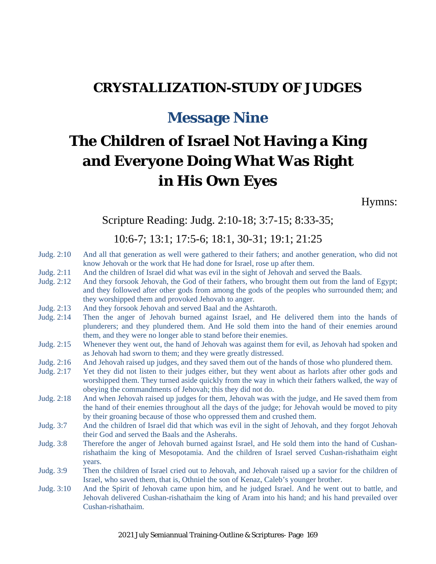## **CRYSTALLIZATION-STUDY OF JUDGES**

# **Message Nine**

# **The Children of Israel Not Having a King and Everyone Doing What Was Right in His Own Eyes**

Hymns:

Scripture Reading: Judg. 2:10-18; 3:7-15; 8:33-35;

10:6-7; 13:1; 17:5-6; 18:1, 30-31; 19:1; 21:25

- Judg. 2:10 And all that generation as well were gathered to their fathers; and another generation, who did not know Jehovah or the work that He had done for Israel, rose up after them.
- Judg. 2:11 And the children of Israel did what was evil in the sight of Jehovah and served the Baals.
- Judg. 2:12 And they forsook Jehovah, the God of their fathers, who brought them out from the land of Egypt; and they followed after other gods from among the gods of the peoples who surrounded them; and they worshipped them and provoked Jehovah to anger.
- Judg. 2:13 And they forsook Jehovah and served Baal and the Ashtaroth.
- Judg. 2:14 Then the anger of Jehovah burned against Israel, and He delivered them into the hands of plunderers; and they plundered them. And He sold them into the hand of their enemies around them, and they were no longer able to stand before their enemies.
- Judg. 2:15 Whenever they went out, the hand of Jehovah was against them for evil, as Jehovah had spoken and as Jehovah had sworn to them; and they were greatly distressed.
- Judg. 2:16 And Jehovah raised up judges, and they saved them out of the hands of those who plundered them.
- Judg. 2:17 Yet they did not listen to their judges either, but they went about as harlots after other gods and worshipped them. They turned aside quickly from the way in which their fathers walked, the way of obeying the commandments of Jehovah; this they did not do.
- Judg. 2:18 And when Jehovah raised up judges for them, Jehovah was with the judge, and He saved them from the hand of their enemies throughout all the days of the judge; for Jehovah would be moved to pity by their groaning because of those who oppressed them and crushed them.
- Judg. 3:7 And the children of Israel did that which was evil in the sight of Jehovah, and they forgot Jehovah their God and served the Baals and the Asherahs.
- Judg. 3:8 Therefore the anger of Jehovah burned against Israel, and He sold them into the hand of Cushanrishathaim the king of Mesopotamia. And the children of Israel served Cushan-rishathaim eight years.
- Judg. 3:9 Then the children of Israel cried out to Jehovah, and Jehovah raised up a savior for the children of Israel, who saved them, that is, Othniel the son of Kenaz, Caleb's younger brother.
- Judg. 3:10 And the Spirit of Jehovah came upon him, and he judged Israel. And he went out to battle, and Jehovah delivered Cushan-rishathaim the king of Aram into his hand; and his hand prevailed over Cushan-rishathaim.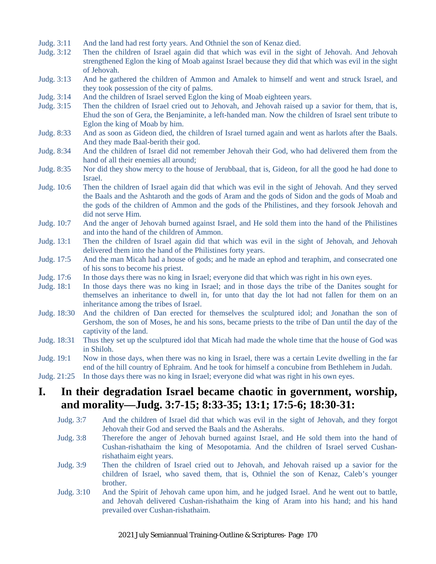- Judg. 3:11 And the land had rest forty years. And Othniel the son of Kenaz died.
- Judg. 3:12 Then the children of Israel again did that which was evil in the sight of Jehovah. And Jehovah strengthened Eglon the king of Moab against Israel because they did that which was evil in the sight of Jehovah.
- Judg. 3:13 And he gathered the children of Ammon and Amalek to himself and went and struck Israel, and they took possession of the city of palms.
- Judg. 3:14 And the children of Israel served Eglon the king of Moab eighteen years.
- Judg. 3:15 Then the children of Israel cried out to Jehovah, and Jehovah raised up a savior for them, that is, Ehud the son of Gera, the Benjaminite, a left-handed man. Now the children of Israel sent tribute to Eglon the king of Moab by him.
- Judg. 8:33 And as soon as Gideon died, the children of Israel turned again and went as harlots after the Baals. And they made Baal-berith their god.
- Judg. 8:34 And the children of Israel did not remember Jehovah their God, who had delivered them from the hand of all their enemies all around;
- Judg. 8:35 Nor did they show mercy to the house of Jerubbaal, that is, Gideon, for all the good he had done to Israel.
- Judg. 10:6 Then the children of Israel again did that which was evil in the sight of Jehovah. And they served the Baals and the Ashtaroth and the gods of Aram and the gods of Sidon and the gods of Moab and the gods of the children of Ammon and the gods of the Philistines, and they forsook Jehovah and did not serve Him.
- Judg. 10:7 And the anger of Jehovah burned against Israel, and He sold them into the hand of the Philistines and into the hand of the children of Ammon.
- Judg. 13:1 Then the children of Israel again did that which was evil in the sight of Jehovah, and Jehovah delivered them into the hand of the Philistines forty years.
- Judg. 17:5 And the man Micah had a house of gods; and he made an ephod and teraphim, and consecrated one of his sons to become his priest.
- Judg. 17:6 In those days there was no king in Israel; everyone did that which was right in his own eyes.
- Judg. 18:1 In those days there was no king in Israel; and in those days the tribe of the Danites sought for themselves an inheritance to dwell in, for unto that day the lot had not fallen for them on an inheritance among the tribes of Israel.
- Judg. 18:30 And the children of Dan erected for themselves the sculptured idol; and Jonathan the son of Gershom, the son of Moses, he and his sons, became priests to the tribe of Dan until the day of the captivity of the land.
- Judg. 18:31 Thus they set up the sculptured idol that Micah had made the whole time that the house of God was in Shiloh.
- Judg. 19:1 Now in those days, when there was no king in Israel, there was a certain Levite dwelling in the far end of the hill country of Ephraim. And he took for himself a concubine from Bethlehem in Judah.
- Judg. 21:25 In those days there was no king in Israel; everyone did what was right in his own eyes.

#### **I. In their degradation Israel became chaotic in government, worship, and morality—Judg. 3:7-15; 8:33-35; 13:1; 17:5-6; 18:30-31:**

- Judg. 3:7 And the children of Israel did that which was evil in the sight of Jehovah, and they forgot Jehovah their God and served the Baals and the Asherahs.
- Judg. 3:8 Therefore the anger of Jehovah burned against Israel, and He sold them into the hand of Cushan-rishathaim the king of Mesopotamia. And the children of Israel served Cushanrishathaim eight years.
- Judg. 3:9 Then the children of Israel cried out to Jehovah, and Jehovah raised up a savior for the children of Israel, who saved them, that is, Othniel the son of Kenaz, Caleb's younger brother.
- Judg. 3:10 And the Spirit of Jehovah came upon him, and he judged Israel. And he went out to battle, and Jehovah delivered Cushan-rishathaim the king of Aram into his hand; and his hand prevailed over Cushan-rishathaim.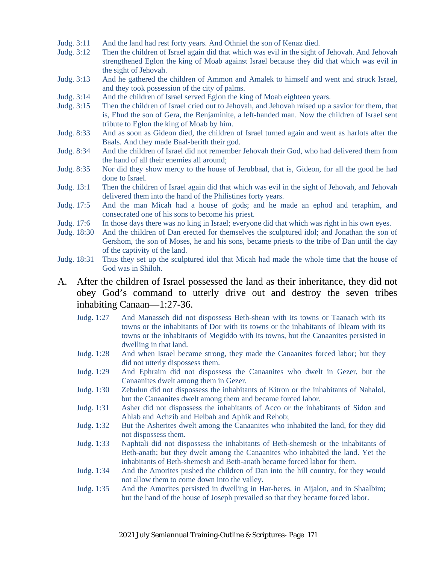- Judg. 3:11 And the land had rest forty years. And Othniel the son of Kenaz died.
- Judg. 3:12 Then the children of Israel again did that which was evil in the sight of Jehovah. And Jehovah strengthened Eglon the king of Moab against Israel because they did that which was evil in the sight of Jehovah.
- Judg. 3:13 And he gathered the children of Ammon and Amalek to himself and went and struck Israel, and they took possession of the city of palms.
- Judg. 3:14 And the children of Israel served Eglon the king of Moab eighteen years.
- Judg. 3:15 Then the children of Israel cried out to Jehovah, and Jehovah raised up a savior for them, that is, Ehud the son of Gera, the Benjaminite, a left-handed man. Now the children of Israel sent tribute to Eglon the king of Moab by him.
- Judg. 8:33 And as soon as Gideon died, the children of Israel turned again and went as harlots after the Baals. And they made Baal-berith their god.
- Judg. 8:34 And the children of Israel did not remember Jehovah their God, who had delivered them from the hand of all their enemies all around;
- Judg. 8:35 Nor did they show mercy to the house of Jerubbaal, that is, Gideon, for all the good he had done to Israel.
- Judg. 13:1 Then the children of Israel again did that which was evil in the sight of Jehovah, and Jehovah delivered them into the hand of the Philistines forty years.
- Judg. 17:5 And the man Micah had a house of gods; and he made an ephod and teraphim, and consecrated one of his sons to become his priest.
- Judg. 17:6 In those days there was no king in Israel; everyone did that which was right in his own eyes.
- Judg. 18:30 And the children of Dan erected for themselves the sculptured idol; and Jonathan the son of Gershom, the son of Moses, he and his sons, became priests to the tribe of Dan until the day of the captivity of the land.
- Judg. 18:31 Thus they set up the sculptured idol that Micah had made the whole time that the house of God was in Shiloh.
- A. After the children of Israel possessed the land as their inheritance, they did not obey God's command to utterly drive out and destroy the seven tribes inhabiting Canaan—1:27-36.
	- Judg. 1:27 And Manasseh did not dispossess Beth-shean with its towns or Taanach with its towns or the inhabitants of Dor with its towns or the inhabitants of Ibleam with its towns or the inhabitants of Megiddo with its towns, but the Canaanites persisted in dwelling in that land.
	- Judg. 1:28 And when Israel became strong, they made the Canaanites forced labor; but they did not utterly dispossess them.
	- Judg. 1:29 And Ephraim did not dispossess the Canaanites who dwelt in Gezer, but the Canaanites dwelt among them in Gezer.
	- Judg. 1:30 Zebulun did not dispossess the inhabitants of Kitron or the inhabitants of Nahalol, but the Canaanites dwelt among them and became forced labor.
	- Judg. 1:31 Asher did not dispossess the inhabitants of Acco or the inhabitants of Sidon and Ahlab and Achzib and Helbah and Aphik and Rehob;
	- Judg. 1:32 But the Asherites dwelt among the Canaanites who inhabited the land, for they did not dispossess them.
	- Judg. 1:33 Naphtali did not dispossess the inhabitants of Beth-shemesh or the inhabitants of Beth-anath; but they dwelt among the Canaanites who inhabited the land. Yet the inhabitants of Beth-shemesh and Beth-anath became forced labor for them.
	- Judg. 1:34 And the Amorites pushed the children of Dan into the hill country, for they would not allow them to come down into the valley.
	- Judg. 1:35 And the Amorites persisted in dwelling in Har-heres, in Aijalon, and in Shaalbim; but the hand of the house of Joseph prevailed so that they became forced labor.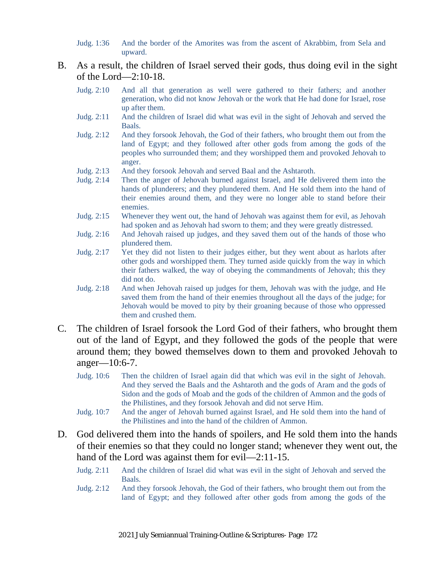Judg. 1:36 And the border of the Amorites was from the ascent of Akrabbim, from Sela and upward.

#### B. As a result, the children of Israel served their gods, thus doing evil in the sight of the Lord—2:10-18.

- Judg. 2:10 And all that generation as well were gathered to their fathers; and another generation, who did not know Jehovah or the work that He had done for Israel, rose up after them.
- Judg. 2:11 And the children of Israel did what was evil in the sight of Jehovah and served the Baals.
- Judg. 2:12 And they forsook Jehovah, the God of their fathers, who brought them out from the land of Egypt; and they followed after other gods from among the gods of the peoples who surrounded them; and they worshipped them and provoked Jehovah to anger.
- Judg. 2:13 And they forsook Jehovah and served Baal and the Ashtaroth.
- Judg. 2:14 Then the anger of Jehovah burned against Israel, and He delivered them into the hands of plunderers; and they plundered them. And He sold them into the hand of their enemies around them, and they were no longer able to stand before their enemies.
- Judg. 2:15 Whenever they went out, the hand of Jehovah was against them for evil, as Jehovah had spoken and as Jehovah had sworn to them; and they were greatly distressed.
- Judg. 2:16 And Jehovah raised up judges, and they saved them out of the hands of those who plundered them.
- Judg. 2:17 Yet they did not listen to their judges either, but they went about as harlots after other gods and worshipped them. They turned aside quickly from the way in which their fathers walked, the way of obeying the commandments of Jehovah; this they did not do.
- Judg. 2:18 And when Jehovah raised up judges for them, Jehovah was with the judge, and He saved them from the hand of their enemies throughout all the days of the judge; for Jehovah would be moved to pity by their groaning because of those who oppressed them and crushed them.
- C. The children of Israel forsook the Lord God of their fathers, who brought them out of the land of Egypt, and they followed the gods of the people that were around them; they bowed themselves down to them and provoked Jehovah to anger—10:6-7.
	- Judg. 10:6 Then the children of Israel again did that which was evil in the sight of Jehovah. And they served the Baals and the Ashtaroth and the gods of Aram and the gods of Sidon and the gods of Moab and the gods of the children of Ammon and the gods of the Philistines, and they forsook Jehovah and did not serve Him.
	- Judg. 10:7 And the anger of Jehovah burned against Israel, and He sold them into the hand of the Philistines and into the hand of the children of Ammon.
- D. God delivered them into the hands of spoilers, and He sold them into the hands of their enemies so that they could no longer stand; whenever they went out, the hand of the Lord was against them for evil—2:11-15.
	- Judg. 2:11 And the children of Israel did what was evil in the sight of Jehovah and served the Baals.
	- Judg. 2:12 And they forsook Jehovah, the God of their fathers, who brought them out from the land of Egypt; and they followed after other gods from among the gods of the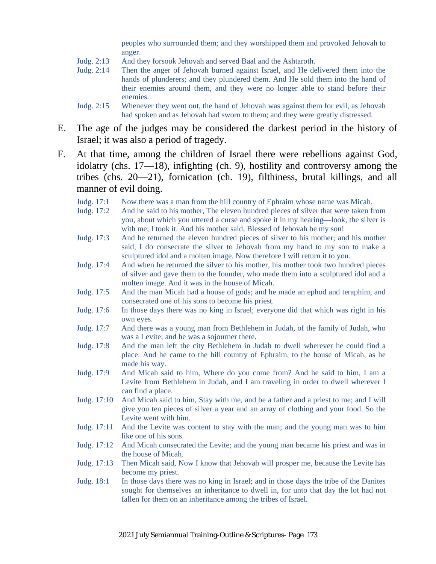peoples who surrounded them; and they worshipped them and provoked Jehovah to anger.

- Judg. 2:13 And they forsook Jehovah and served Baal and the Ashtaroth.
- Judg. 2:14 Then the anger of Jehovah burned against Israel, and He delivered them into the hands of plunderers; and they plundered them. And He sold them into the hand of their enemies around them, and they were no longer able to stand before their enemies.
- Judg. 2:15 Whenever they went out, the hand of Jehovah was against them for evil, as Jehovah had spoken and as Jehovah had sworn to them; and they were greatly distressed.
- E. The age of the judges may be considered the darkest period in the history of Israel; it was also a period of tragedy.
- F. At that time, among the children of Israel there were rebellions against God, idolatry (chs. 17—18), infighting (ch. 9), hostility and controversy among the tribes (chs. 20—21), fornication (ch. 19), filthiness, brutal killings, and all manner of evil doing.
	- Judg. 17:1 Now there was a man from the hill country of Ephraim whose name was Micah.
	- Judg. 17:2 And he said to his mother, The eleven hundred pieces of silver that were taken from you, about which you uttered a curse and spoke it in my hearing—look, the silver is with me; I took it. And his mother said, Blessed of Jehovah be my son!
	- Judg. 17:3 And he returned the eleven hundred pieces of silver to his mother; and his mother said, I do consecrate the silver to Jehovah from my hand to my son to make a sculptured idol and a molten image. Now therefore I will return it to you.
	- Judg. 17:4 And when he returned the silver to his mother, his mother took two hundred pieces of silver and gave them to the founder, who made them into a sculptured idol and a molten image. And it was in the house of Micah.
	- Judg. 17:5 And the man Micah had a house of gods; and he made an ephod and teraphim, and consecrated one of his sons to become his priest.
	- Judg. 17:6 In those days there was no king in Israel; everyone did that which was right in his own eyes.
	- Judg. 17:7 And there was a young man from Bethlehem in Judah, of the family of Judah, who was a Levite; and he was a sojourner there.
	- Judg. 17:8 And the man left the city Bethlehem in Judah to dwell wherever he could find a place. And he came to the hill country of Ephraim, to the house of Micah, as he made his way.
	- Judg. 17:9 And Micah said to him, Where do you come from? And he said to him, I am a Levite from Bethlehem in Judah, and I am traveling in order to dwell wherever I can find a place.
	- Judg. 17:10 And Micah said to him, Stay with me, and be a father and a priest to me; and I will give you ten pieces of silver a year and an array of clothing and your food. So the Levite went with him.
	- Judg. 17:11 And the Levite was content to stay with the man; and the young man was to him like one of his sons.
	- Judg. 17:12 And Micah consecrated the Levite; and the young man became his priest and was in the house of Micah.
	- Judg. 17:13 Then Micah said, Now I know that Jehovah will prosper me, because the Levite has become my priest.
	- Judg. 18:1 In those days there was no king in Israel; and in those days the tribe of the Danites sought for themselves an inheritance to dwell in, for unto that day the lot had not fallen for them on an inheritance among the tribes of Israel.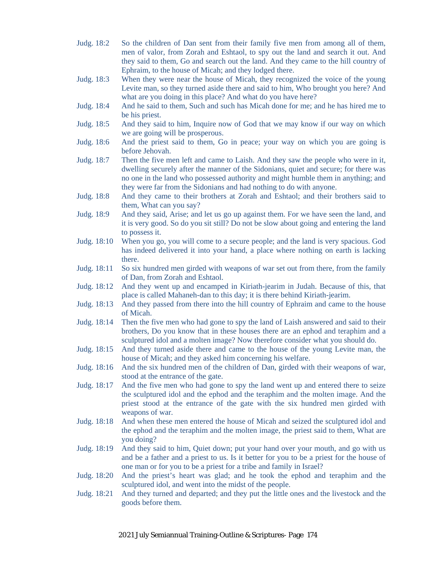- Judg. 18:2 So the children of Dan sent from their family five men from among all of them, men of valor, from Zorah and Eshtaol, to spy out the land and search it out. And they said to them, Go and search out the land. And they came to the hill country of Ephraim, to the house of Micah; and they lodged there.
- Judg. 18:3 When they were near the house of Micah, they recognized the voice of the young Levite man, so they turned aside there and said to him, Who brought you here? And what are you doing in this place? And what do you have here?
- Judg. 18:4 And he said to them, Such and such has Micah done for me; and he has hired me to be his priest.
- Judg. 18:5 And they said to him, Inquire now of God that we may know if our way on which we are going will be prosperous.
- Judg. 18:6 And the priest said to them, Go in peace; your way on which you are going is before Jehovah.
- Judg. 18:7 Then the five men left and came to Laish. And they saw the people who were in it, dwelling securely after the manner of the Sidonians, quiet and secure; for there was no one in the land who possessed authority and might humble them in anything; and they were far from the Sidonians and had nothing to do with anyone.
- Judg. 18:8 And they came to their brothers at Zorah and Eshtaol; and their brothers said to them, What can you say?
- Judg. 18:9 And they said, Arise; and let us go up against them. For we have seen the land, and it is very good. So do you sit still? Do not be slow about going and entering the land to possess it.
- Judg. 18:10 When you go, you will come to a secure people; and the land is very spacious. God has indeed delivered it into your hand, a place where nothing on earth is lacking there.
- Judg. 18:11 So six hundred men girded with weapons of war set out from there, from the family of Dan, from Zorah and Eshtaol.
- Judg. 18:12 And they went up and encamped in Kiriath-jearim in Judah. Because of this, that place is called Mahaneh-dan to this day; it is there behind Kiriath-jearim.
- Judg. 18:13 And they passed from there into the hill country of Ephraim and came to the house of Micah.
- Judg. 18:14 Then the five men who had gone to spy the land of Laish answered and said to their brothers, Do you know that in these houses there are an ephod and teraphim and a sculptured idol and a molten image? Now therefore consider what you should do.
- Judg. 18:15 And they turned aside there and came to the house of the young Levite man, the house of Micah; and they asked him concerning his welfare.
- Judg. 18:16 And the six hundred men of the children of Dan, girded with their weapons of war, stood at the entrance of the gate.
- Judg. 18:17 And the five men who had gone to spy the land went up and entered there to seize the sculptured idol and the ephod and the teraphim and the molten image. And the priest stood at the entrance of the gate with the six hundred men girded with weapons of war.
- Judg. 18:18 And when these men entered the house of Micah and seized the sculptured idol and the ephod and the teraphim and the molten image, the priest said to them, What are you doing?
- Judg. 18:19 And they said to him, Quiet down; put your hand over your mouth, and go with us and be a father and a priest to us. Is it better for you to be a priest for the house of one man or for you to be a priest for a tribe and family in Israel?
- Judg. 18:20 And the priest's heart was glad; and he took the ephod and teraphim and the sculptured idol, and went into the midst of the people.
- Judg. 18:21 And they turned and departed; and they put the little ones and the livestock and the goods before them.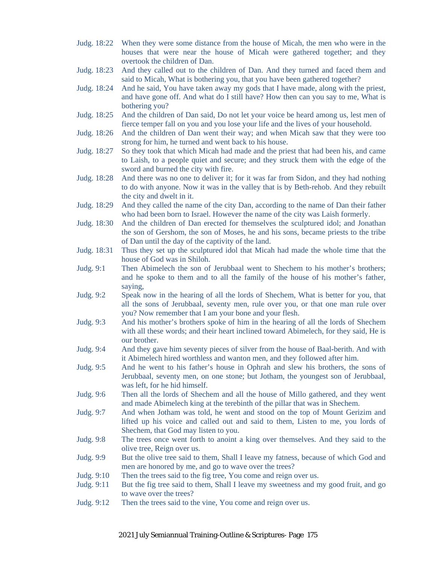- Judg. 18:22 When they were some distance from the house of Micah, the men who were in the houses that were near the house of Micah were gathered together; and they overtook the children of Dan.
- Judg. 18:23 And they called out to the children of Dan. And they turned and faced them and said to Micah, What is bothering you, that you have been gathered together?
- Judg. 18:24 And he said, You have taken away my gods that I have made, along with the priest, and have gone off. And what do I still have? How then can you say to me, What is bothering you?
- Judg. 18:25 And the children of Dan said, Do not let your voice be heard among us, lest men of fierce temper fall on you and you lose your life and the lives of your household.
- Judg. 18:26 And the children of Dan went their way; and when Micah saw that they were too strong for him, he turned and went back to his house.
- Judg. 18:27 So they took that which Micah had made and the priest that had been his, and came to Laish, to a people quiet and secure; and they struck them with the edge of the sword and burned the city with fire.
- Judg. 18:28 And there was no one to deliver it; for it was far from Sidon, and they had nothing to do with anyone. Now it was in the valley that is by Beth-rehob. And they rebuilt the city and dwelt in it.
- Judg. 18:29 And they called the name of the city Dan, according to the name of Dan their father who had been born to Israel. However the name of the city was Laish formerly.
- Judg. 18:30 And the children of Dan erected for themselves the sculptured idol; and Jonathan the son of Gershom, the son of Moses, he and his sons, became priests to the tribe of Dan until the day of the captivity of the land.
- Judg. 18:31 Thus they set up the sculptured idol that Micah had made the whole time that the house of God was in Shiloh.
- Judg. 9:1 Then Abimelech the son of Jerubbaal went to Shechem to his mother's brothers; and he spoke to them and to all the family of the house of his mother's father, saying,
- Judg. 9:2 Speak now in the hearing of all the lords of Shechem, What is better for you, that all the sons of Jerubbaal, seventy men, rule over you, or that one man rule over you? Now remember that I am your bone and your flesh.
- Judg. 9:3 And his mother's brothers spoke of him in the hearing of all the lords of Shechem with all these words; and their heart inclined toward Abimelech, for they said, He is our brother.
- Judg. 9:4 And they gave him seventy pieces of silver from the house of Baal-berith. And with it Abimelech hired worthless and wanton men, and they followed after him.
- Judg. 9:5 And he went to his father's house in Ophrah and slew his brothers, the sons of Jerubbaal, seventy men, on one stone; but Jotham, the youngest son of Jerubbaal, was left, for he hid himself.
- Judg. 9:6 Then all the lords of Shechem and all the house of Millo gathered, and they went and made Abimelech king at the terebinth of the pillar that was in Shechem.
- Judg. 9:7 And when Jotham was told, he went and stood on the top of Mount Gerizim and lifted up his voice and called out and said to them, Listen to me, you lords of Shechem, that God may listen to you.
- Judg. 9:8 The trees once went forth to anoint a king over themselves. And they said to the olive tree, Reign over us.
- Judg. 9:9 But the olive tree said to them, Shall I leave my fatness, because of which God and men are honored by me, and go to wave over the trees?
- Judg. 9:10 Then the trees said to the fig tree, You come and reign over us.
- Judg. 9:11 But the fig tree said to them, Shall I leave my sweetness and my good fruit, and go to wave over the trees?
- Judg. 9:12 Then the trees said to the vine, You come and reign over us.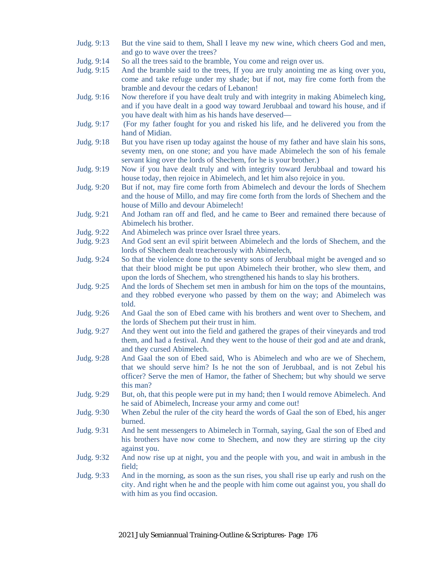- Judg. 9:13 But the vine said to them, Shall I leave my new wine, which cheers God and men, and go to wave over the trees?
- Judg. 9:14 So all the trees said to the bramble, You come and reign over us.
- Judg. 9:15 And the bramble said to the trees, If you are truly anointing me as king over you, come and take refuge under my shade; but if not, may fire come forth from the bramble and devour the cedars of Lebanon!
- Judg. 9:16 Now therefore if you have dealt truly and with integrity in making Abimelech king, and if you have dealt in a good way toward Jerubbaal and toward his house, and if you have dealt with him as his hands have deserved—
- Judg. 9:17 (For my father fought for you and risked his life, and he delivered you from the hand of Midian.
- Judg. 9:18 But you have risen up today against the house of my father and have slain his sons, seventy men, on one stone; and you have made Abimelech the son of his female servant king over the lords of Shechem, for he is your brother.)
- Judg. 9:19 Now if you have dealt truly and with integrity toward Jerubbaal and toward his house today, then rejoice in Abimelech, and let him also rejoice in you.
- Judg. 9:20 But if not, may fire come forth from Abimelech and devour the lords of Shechem and the house of Millo, and may fire come forth from the lords of Shechem and the house of Millo and devour Abimelech!
- Judg. 9:21 And Jotham ran off and fled, and he came to Beer and remained there because of Abimelech his brother.
- Judg. 9:22 And Abimelech was prince over Israel three years.
- Judg. 9:23 And God sent an evil spirit between Abimelech and the lords of Shechem, and the lords of Shechem dealt treacherously with Abimelech,
- Judg. 9:24 So that the violence done to the seventy sons of Jerubbaal might be avenged and so that their blood might be put upon Abimelech their brother, who slew them, and upon the lords of Shechem, who strengthened his hands to slay his brothers.
- Judg. 9:25 And the lords of Shechem set men in ambush for him on the tops of the mountains, and they robbed everyone who passed by them on the way; and Abimelech was told.
- Judg. 9:26 And Gaal the son of Ebed came with his brothers and went over to Shechem, and the lords of Shechem put their trust in him.
- Judg. 9:27 And they went out into the field and gathered the grapes of their vineyards and trod them, and had a festival. And they went to the house of their god and ate and drank, and they cursed Abimelech.
- Judg. 9:28 And Gaal the son of Ebed said, Who is Abimelech and who are we of Shechem, that we should serve him? Is he not the son of Jerubbaal, and is not Zebul his officer? Serve the men of Hamor, the father of Shechem; but why should we serve this man?
- Judg. 9:29 But, oh, that this people were put in my hand; then I would remove Abimelech. And he said of Abimelech, Increase your army and come out!
- Judg. 9:30 When Zebul the ruler of the city heard the words of Gaal the son of Ebed, his anger burned.
- Judg. 9:31 And he sent messengers to Abimelech in Tormah, saying, Gaal the son of Ebed and his brothers have now come to Shechem, and now they are stirring up the city against you.
- Judg. 9:32 And now rise up at night, you and the people with you, and wait in ambush in the field;
- Judg. 9:33 And in the morning, as soon as the sun rises, you shall rise up early and rush on the city. And right when he and the people with him come out against you, you shall do with him as you find occasion.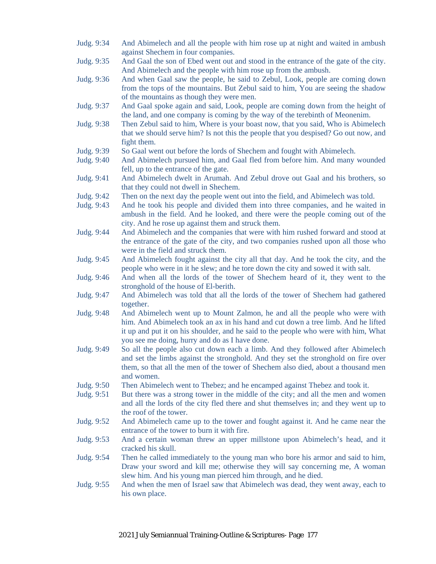- Judg. 9:34 And Abimelech and all the people with him rose up at night and waited in ambush against Shechem in four companies.
- Judg. 9:35 And Gaal the son of Ebed went out and stood in the entrance of the gate of the city. And Abimelech and the people with him rose up from the ambush.
- Judg. 9:36 And when Gaal saw the people, he said to Zebul, Look, people are coming down from the tops of the mountains. But Zebul said to him, You are seeing the shadow of the mountains as though they were men.
- Judg. 9:37 And Gaal spoke again and said, Look, people are coming down from the height of the land, and one company is coming by the way of the terebinth of Meonenim.
- Judg. 9:38 Then Zebul said to him, Where is your boast now, that you said, Who is Abimelech that we should serve him? Is not this the people that you despised? Go out now, and fight them.
- Judg. 9:39 So Gaal went out before the lords of Shechem and fought with Abimelech.
- Judg. 9:40 And Abimelech pursued him, and Gaal fled from before him. And many wounded fell, up to the entrance of the gate.
- Judg. 9:41 And Abimelech dwelt in Arumah. And Zebul drove out Gaal and his brothers, so that they could not dwell in Shechem.
- Judg. 9:42 Then on the next day the people went out into the field, and Abimelech was told.
- Judg. 9:43 And he took his people and divided them into three companies, and he waited in ambush in the field. And he looked, and there were the people coming out of the city. And he rose up against them and struck them.
- Judg. 9:44 And Abimelech and the companies that were with him rushed forward and stood at the entrance of the gate of the city, and two companies rushed upon all those who were in the field and struck them.
- Judg. 9:45 And Abimelech fought against the city all that day. And he took the city, and the people who were in it he slew; and he tore down the city and sowed it with salt.
- Judg. 9:46 And when all the lords of the tower of Shechem heard of it, they went to the stronghold of the house of El-berith.
- Judg. 9:47 And Abimelech was told that all the lords of the tower of Shechem had gathered together.
- Judg. 9:48 And Abimelech went up to Mount Zalmon, he and all the people who were with him. And Abimelech took an ax in his hand and cut down a tree limb. And he lifted it up and put it on his shoulder, and he said to the people who were with him, What you see me doing, hurry and do as I have done.
- Judg. 9:49 So all the people also cut down each a limb. And they followed after Abimelech and set the limbs against the stronghold. And they set the stronghold on fire over them, so that all the men of the tower of Shechem also died, about a thousand men and women.
- Judg. 9:50 Then Abimelech went to Thebez; and he encamped against Thebez and took it.
- Judg. 9:51 But there was a strong tower in the middle of the city; and all the men and women and all the lords of the city fled there and shut themselves in; and they went up to the roof of the tower.
- Judg. 9:52 And Abimelech came up to the tower and fought against it. And he came near the entrance of the tower to burn it with fire.
- Judg. 9:53 And a certain woman threw an upper millstone upon Abimelech's head, and it cracked his skull.
- Judg. 9:54 Then he called immediately to the young man who bore his armor and said to him, Draw your sword and kill me; otherwise they will say concerning me, A woman slew him. And his young man pierced him through, and he died.
- Judg. 9:55 And when the men of Israel saw that Abimelech was dead, they went away, each to his own place.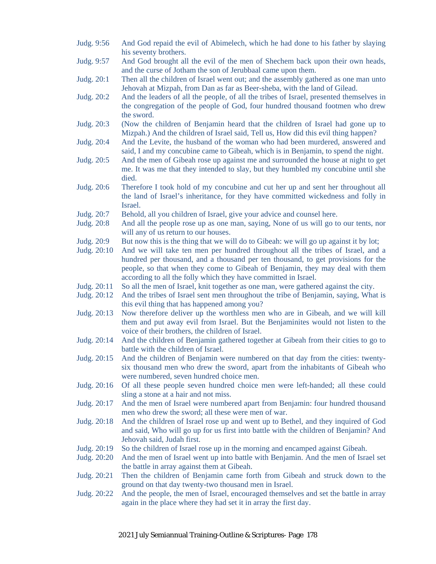Judg. 9:56 And God repaid the evil of Abimelech, which he had done to his father by slaying his seventy brothers. Judg. 9:57 And God brought all the evil of the men of Shechem back upon their own heads, and the curse of Jotham the son of Jerubbaal came upon them. Judg. 20:1 Then all the children of Israel went out; and the assembly gathered as one man unto Jehovah at Mizpah, from Dan as far as Beer-sheba, with the land of Gilead. Judg. 20:2 And the leaders of all the people, of all the tribes of Israel, presented themselves in the congregation of the people of God, four hundred thousand footmen who drew the sword. Judg. 20:3 (Now the children of Benjamin heard that the children of Israel had gone up to Mizpah.) And the children of Israel said, Tell us, How did this evil thing happen? Judg. 20:4 And the Levite, the husband of the woman who had been murdered, answered and said, I and my concubine came to Gibeah, which is in Benjamin, to spend the night. Judg. 20:5 And the men of Gibeah rose up against me and surrounded the house at night to get me. It was me that they intended to slay, but they humbled my concubine until she died. Judg. 20:6 Therefore I took hold of my concubine and cut her up and sent her throughout all the land of Israel's inheritance, for they have committed wickedness and folly in Israel. Judg. 20:7 Behold, all you children of Israel, give your advice and counsel here. Judg. 20:8 And all the people rose up as one man, saying, None of us will go to our tents, nor will any of us return to our houses. Judg. 20:9 But now this is the thing that we will do to Gibeah: we will go up against it by lot; Judg. 20:10 And we will take ten men per hundred throughout all the tribes of Israel, and a hundred per thousand, and a thousand per ten thousand, to get provisions for the people, so that when they come to Gibeah of Benjamin, they may deal with them according to all the folly which they have committed in Israel. Judg. 20:11 So all the men of Israel, knit together as one man, were gathered against the city. Judg. 20:12 And the tribes of Israel sent men throughout the tribe of Benjamin, saying, What is this evil thing that has happened among you? Judg. 20:13 Now therefore deliver up the worthless men who are in Gibeah, and we will kill them and put away evil from Israel. But the Benjaminites would not listen to the voice of their brothers, the children of Israel. Judg. 20:14 And the children of Benjamin gathered together at Gibeah from their cities to go to battle with the children of Israel. Judg. 20:15 And the children of Benjamin were numbered on that day from the cities: twentysix thousand men who drew the sword, apart from the inhabitants of Gibeah who were numbered, seven hundred choice men. Judg. 20:16 Of all these people seven hundred choice men were left-handed; all these could sling a stone at a hair and not miss. Judg. 20:17 And the men of Israel were numbered apart from Benjamin: four hundred thousand men who drew the sword; all these were men of war. Judg. 20:18 And the children of Israel rose up and went up to Bethel, and they inquired of God and said, Who will go up for us first into battle with the children of Benjamin? And Jehovah said, Judah first. Judg. 20:19 So the children of Israel rose up in the morning and encamped against Gibeah. Judg. 20:20 And the men of Israel went up into battle with Benjamin. And the men of Israel set the battle in array against them at Gibeah. Judg. 20:21 Then the children of Benjamin came forth from Gibeah and struck down to the ground on that day twenty-two thousand men in Israel. Judg. 20:22 And the people, the men of Israel, encouraged themselves and set the battle in array again in the place where they had set it in array the first day.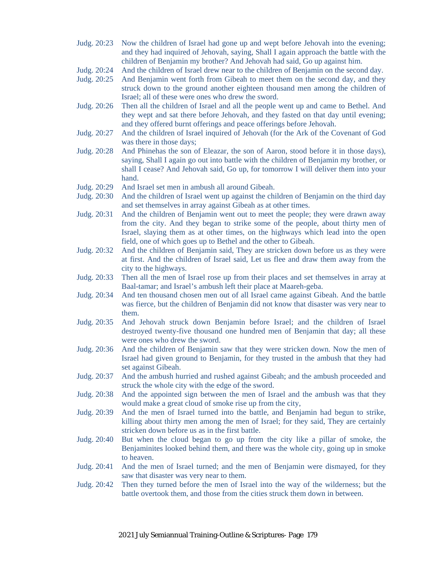- Judg. 20:23 Now the children of Israel had gone up and wept before Jehovah into the evening; and they had inquired of Jehovah, saying, Shall I again approach the battle with the children of Benjamin my brother? And Jehovah had said, Go up against him.
- Judg. 20:24 And the children of Israel drew near to the children of Benjamin on the second day.
- Judg. 20:25 And Benjamin went forth from Gibeah to meet them on the second day, and they struck down to the ground another eighteen thousand men among the children of Israel; all of these were ones who drew the sword.
- Judg. 20:26 Then all the children of Israel and all the people went up and came to Bethel. And they wept and sat there before Jehovah, and they fasted on that day until evening; and they offered burnt offerings and peace offerings before Jehovah.
- Judg. 20:27 And the children of Israel inquired of Jehovah (for the Ark of the Covenant of God was there in those days;
- Judg. 20:28 And Phinehas the son of Eleazar, the son of Aaron, stood before it in those days), saying, Shall I again go out into battle with the children of Benjamin my brother, or shall I cease? And Jehovah said, Go up, for tomorrow I will deliver them into your hand.
- Judg. 20:29 And Israel set men in ambush all around Gibeah.
- Judg. 20:30 And the children of Israel went up against the children of Benjamin on the third day and set themselves in array against Gibeah as at other times.
- Judg. 20:31 And the children of Benjamin went out to meet the people; they were drawn away from the city. And they began to strike some of the people, about thirty men of Israel, slaying them as at other times, on the highways which lead into the open field, one of which goes up to Bethel and the other to Gibeah.
- Judg. 20:32 And the children of Benjamin said, They are stricken down before us as they were at first. And the children of Israel said, Let us flee and draw them away from the city to the highways.
- Judg. 20:33 Then all the men of Israel rose up from their places and set themselves in array at Baal-tamar; and Israel's ambush left their place at Maareh-geba.
- Judg. 20:34 And ten thousand chosen men out of all Israel came against Gibeah. And the battle was fierce, but the children of Benjamin did not know that disaster was very near to them.
- Judg. 20:35 And Jehovah struck down Benjamin before Israel; and the children of Israel destroyed twenty-five thousand one hundred men of Benjamin that day; all these were ones who drew the sword.
- Judg. 20:36 And the children of Benjamin saw that they were stricken down. Now the men of Israel had given ground to Benjamin, for they trusted in the ambush that they had set against Gibeah.
- Judg. 20:37 And the ambush hurried and rushed against Gibeah; and the ambush proceeded and struck the whole city with the edge of the sword.
- Judg. 20:38 And the appointed sign between the men of Israel and the ambush was that they would make a great cloud of smoke rise up from the city,
- Judg. 20:39 And the men of Israel turned into the battle, and Benjamin had begun to strike, killing about thirty men among the men of Israel; for they said, They are certainly stricken down before us as in the first battle.
- Judg. 20:40 But when the cloud began to go up from the city like a pillar of smoke, the Benjaminites looked behind them, and there was the whole city, going up in smoke to heaven.
- Judg. 20:41 And the men of Israel turned; and the men of Benjamin were dismayed, for they saw that disaster was very near to them.
- Judg. 20:42 Then they turned before the men of Israel into the way of the wilderness; but the battle overtook them, and those from the cities struck them down in between.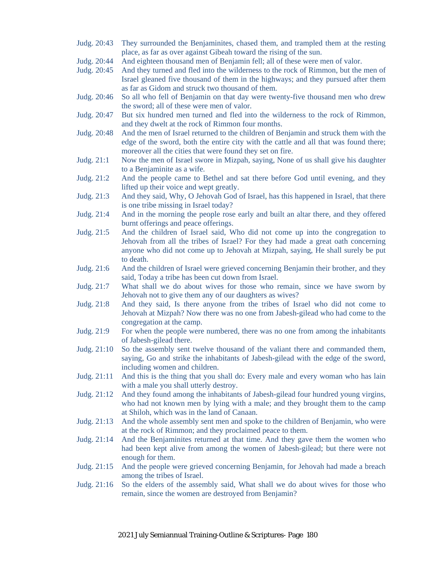- Judg. 20:43 They surrounded the Benjaminites, chased them, and trampled them at the resting place, as far as over against Gibeah toward the rising of the sun.
- Judg. 20:44 And eighteen thousand men of Benjamin fell; all of these were men of valor.
- Judg. 20:45 And they turned and fled into the wilderness to the rock of Rimmon, but the men of Israel gleaned five thousand of them in the highways; and they pursued after them as far as Gidom and struck two thousand of them.
- Judg. 20:46 So all who fell of Benjamin on that day were twenty-five thousand men who drew the sword; all of these were men of valor.
- Judg. 20:47 But six hundred men turned and fled into the wilderness to the rock of Rimmon, and they dwelt at the rock of Rimmon four months.
- Judg. 20:48 And the men of Israel returned to the children of Benjamin and struck them with the edge of the sword, both the entire city with the cattle and all that was found there; moreover all the cities that were found they set on fire.
- Judg. 21:1 Now the men of Israel swore in Mizpah, saying, None of us shall give his daughter to a Benjaminite as a wife.
- Judg. 21:2 And the people came to Bethel and sat there before God until evening, and they lifted up their voice and wept greatly.
- Judg. 21:3 And they said, Why, O Jehovah God of Israel, has this happened in Israel, that there is one tribe missing in Israel today?
- Judg. 21:4 And in the morning the people rose early and built an altar there, and they offered burnt offerings and peace offerings.
- Judg. 21:5 And the children of Israel said, Who did not come up into the congregation to Jehovah from all the tribes of Israel? For they had made a great oath concerning anyone who did not come up to Jehovah at Mizpah, saying, He shall surely be put to death.
- Judg. 21:6 And the children of Israel were grieved concerning Benjamin their brother, and they said, Today a tribe has been cut down from Israel.
- Judg. 21:7 What shall we do about wives for those who remain, since we have sworn by Jehovah not to give them any of our daughters as wives?
- Judg. 21:8 And they said, Is there anyone from the tribes of Israel who did not come to Jehovah at Mizpah? Now there was no one from Jabesh-gilead who had come to the congregation at the camp.
- Judg. 21:9 For when the people were numbered, there was no one from among the inhabitants of Jabesh-gilead there.
- Judg. 21:10 So the assembly sent twelve thousand of the valiant there and commanded them, saying, Go and strike the inhabitants of Jabesh-gilead with the edge of the sword, including women and children.
- Judg. 21:11 And this is the thing that you shall do: Every male and every woman who has lain with a male you shall utterly destroy.
- Judg. 21:12 And they found among the inhabitants of Jabesh-gilead four hundred young virgins, who had not known men by lying with a male; and they brought them to the camp at Shiloh, which was in the land of Canaan.
- Judg. 21:13 And the whole assembly sent men and spoke to the children of Benjamin, who were at the rock of Rimmon; and they proclaimed peace to them.
- Judg. 21:14 And the Benjaminites returned at that time. And they gave them the women who had been kept alive from among the women of Jabesh-gilead; but there were not enough for them.
- Judg. 21:15 And the people were grieved concerning Benjamin, for Jehovah had made a breach among the tribes of Israel.
- Judg. 21:16 So the elders of the assembly said, What shall we do about wives for those who remain, since the women are destroyed from Benjamin?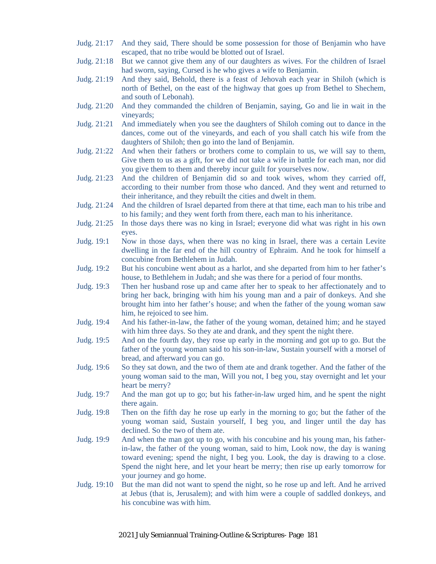- Judg. 21:17 And they said, There should be some possession for those of Benjamin who have escaped, that no tribe would be blotted out of Israel.
- Judg. 21:18 But we cannot give them any of our daughters as wives. For the children of Israel had sworn, saying, Cursed is he who gives a wife to Benjamin.
- Judg. 21:19 And they said, Behold, there is a feast of Jehovah each year in Shiloh (which is north of Bethel, on the east of the highway that goes up from Bethel to Shechem, and south of Lebonah).
- Judg. 21:20 And they commanded the children of Benjamin, saying, Go and lie in wait in the vineyards;
- Judg. 21:21 And immediately when you see the daughters of Shiloh coming out to dance in the dances, come out of the vineyards, and each of you shall catch his wife from the daughters of Shiloh; then go into the land of Benjamin.
- Judg. 21:22 And when their fathers or brothers come to complain to us, we will say to them, Give them to us as a gift, for we did not take a wife in battle for each man, nor did you give them to them and thereby incur guilt for yourselves now.
- Judg. 21:23 And the children of Benjamin did so and took wives, whom they carried off, according to their number from those who danced. And they went and returned to their inheritance, and they rebuilt the cities and dwelt in them.
- Judg. 21:24 And the children of Israel departed from there at that time, each man to his tribe and to his family; and they went forth from there, each man to his inheritance.
- Judg. 21:25 In those days there was no king in Israel; everyone did what was right in his own eyes.
- Judg. 19:1 Now in those days, when there was no king in Israel, there was a certain Levite dwelling in the far end of the hill country of Ephraim. And he took for himself a concubine from Bethlehem in Judah.
- Judg. 19:2 But his concubine went about as a harlot, and she departed from him to her father's house, to Bethlehem in Judah; and she was there for a period of four months.
- Judg. 19:3 Then her husband rose up and came after her to speak to her affectionately and to bring her back, bringing with him his young man and a pair of donkeys. And she brought him into her father's house; and when the father of the young woman saw him, he rejoiced to see him.
- Judg. 19:4 And his father-in-law, the father of the young woman, detained him; and he stayed with him three days. So they ate and drank, and they spent the night there.
- Judg. 19:5 And on the fourth day, they rose up early in the morning and got up to go. But the father of the young woman said to his son-in-law, Sustain yourself with a morsel of bread, and afterward you can go.
- Judg. 19:6 So they sat down, and the two of them ate and drank together. And the father of the young woman said to the man, Will you not, I beg you, stay overnight and let your heart be merry?
- Judg. 19:7 And the man got up to go; but his father-in-law urged him, and he spent the night there again.
- Judg. 19:8 Then on the fifth day he rose up early in the morning to go; but the father of the young woman said, Sustain yourself, I beg you, and linger until the day has declined. So the two of them ate.
- Judg. 19:9 And when the man got up to go, with his concubine and his young man, his fatherin-law, the father of the young woman, said to him, Look now, the day is waning toward evening; spend the night, I beg you. Look, the day is drawing to a close. Spend the night here, and let your heart be merry; then rise up early tomorrow for your journey and go home.
- Judg. 19:10 But the man did not want to spend the night, so he rose up and left. And he arrived at Jebus (that is, Jerusalem); and with him were a couple of saddled donkeys, and his concubine was with him.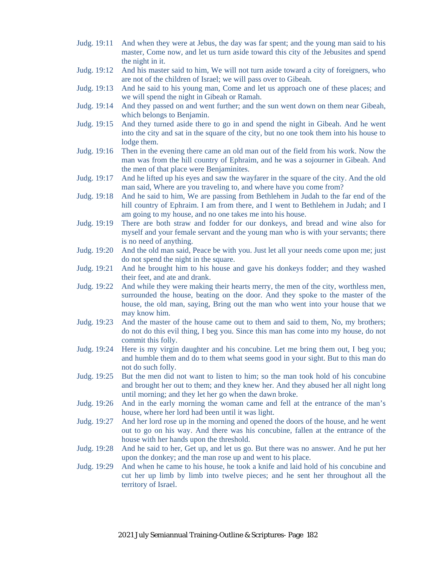- Judg. 19:11 And when they were at Jebus, the day was far spent; and the young man said to his master, Come now, and let us turn aside toward this city of the Jebusites and spend the night in it.
- Judg. 19:12 And his master said to him, We will not turn aside toward a city of foreigners, who are not of the children of Israel; we will pass over to Gibeah.
- Judg. 19:13 And he said to his young man, Come and let us approach one of these places; and we will spend the night in Gibeah or Ramah.
- Judg. 19:14 And they passed on and went further; and the sun went down on them near Gibeah, which belongs to Benjamin.
- Judg. 19:15 And they turned aside there to go in and spend the night in Gibeah. And he went into the city and sat in the square of the city, but no one took them into his house to lodge them.
- Judg. 19:16 Then in the evening there came an old man out of the field from his work. Now the man was from the hill country of Ephraim, and he was a sojourner in Gibeah. And the men of that place were Benjaminites.
- Judg. 19:17 And he lifted up his eyes and saw the wayfarer in the square of the city. And the old man said, Where are you traveling to, and where have you come from?
- Judg. 19:18 And he said to him, We are passing from Bethlehem in Judah to the far end of the hill country of Ephraim. I am from there, and I went to Bethlehem in Judah; and I am going to my house, and no one takes me into his house.
- Judg. 19:19 There are both straw and fodder for our donkeys, and bread and wine also for myself and your female servant and the young man who is with your servants; there is no need of anything.
- Judg. 19:20 And the old man said, Peace be with you. Just let all your needs come upon me; just do not spend the night in the square.
- Judg. 19:21 And he brought him to his house and gave his donkeys fodder; and they washed their feet, and ate and drank.
- Judg. 19:22 And while they were making their hearts merry, the men of the city, worthless men, surrounded the house, beating on the door. And they spoke to the master of the house, the old man, saying, Bring out the man who went into your house that we may know him.
- Judg. 19:23 And the master of the house came out to them and said to them, No, my brothers; do not do this evil thing, I beg you. Since this man has come into my house, do not commit this folly.
- Judg. 19:24 Here is my virgin daughter and his concubine. Let me bring them out, I beg you; and humble them and do to them what seems good in your sight. But to this man do not do such folly.
- Judg. 19:25 But the men did not want to listen to him; so the man took hold of his concubine and brought her out to them; and they knew her. And they abused her all night long until morning; and they let her go when the dawn broke.
- Judg. 19:26 And in the early morning the woman came and fell at the entrance of the man's house, where her lord had been until it was light.
- Judg. 19:27 And her lord rose up in the morning and opened the doors of the house, and he went out to go on his way. And there was his concubine, fallen at the entrance of the house with her hands upon the threshold.
- Judg. 19:28 And he said to her, Get up, and let us go. But there was no answer. And he put her upon the donkey; and the man rose up and went to his place.
- Judg. 19:29 And when he came to his house, he took a knife and laid hold of his concubine and cut her up limb by limb into twelve pieces; and he sent her throughout all the territory of Israel.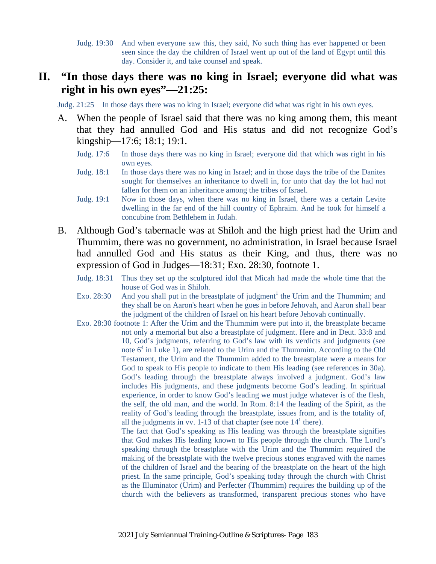Judg. 19:30 And when everyone saw this, they said, No such thing has ever happened or been seen since the day the children of Israel went up out of the land of Egypt until this day. Consider it, and take counsel and speak.

### **II. "In those days there was no king in Israel; everyone did what was right in his own eyes"—21:25:**

Judg. 21:25 In those days there was no king in Israel; everyone did what was right in his own eyes.

- A. When the people of Israel said that there was no king among them, this meant that they had annulled God and His status and did not recognize God's kingship—17:6; 18:1; 19:1.
	- Judg. 17:6 In those days there was no king in Israel; everyone did that which was right in his own eyes.
	- Judg. 18:1 In those days there was no king in Israel; and in those days the tribe of the Danites sought for themselves an inheritance to dwell in, for unto that day the lot had not fallen for them on an inheritance among the tribes of Israel.
	- Judg. 19:1 Now in those days, when there was no king in Israel, there was a certain Levite dwelling in the far end of the hill country of Ephraim. And he took for himself a concubine from Bethlehem in Judah.
- B. Although God's tabernacle was at Shiloh and the high priest had the Urim and Thummim, there was no government, no administration, in Israel because Israel had annulled God and His status as their King, and thus, there was no expression of God in Judges—18:31; Exo. 28:30, footnote 1.
	- Judg. 18:31 Thus they set up the sculptured idol that Micah had made the whole time that the house of God was in Shiloh.
	- Exo. 28:30 And you shall put in the breastplate of judgment<sup>1</sup> the Urim and the Thummim; and they shall be on Aaron's heart when he goes in before Jehovah, and Aaron shall bear the judgment of the children of Israel on his heart before Jehovah continually.
	- Exo. 28:30 footnote 1: After the Urim and the Thummim were put into it, the breastplate became not only a memorial but also a breastplate of judgment. Here and in Deut. 33:8 and 10, God's judgments, referring to God's law with its verdicts and judgments (see note  $6<sup>4</sup>$  in Luke 1), are related to the Urim and the Thummim. According to the Old Testament, the Urim and the Thummim added to the breastplate were a means for God to speak to His people to indicate to them His leading (see references in 30a). God's leading through the breastplate always involved a judgment. God's law includes His judgments, and these judgments become God's leading. In spiritual experience, in order to know God's leading we must judge whatever is of the flesh, the self, the old man, and the world. In Rom. 8:14 the leading of the Spirit, as the reality of God's leading through the breastplate, issues from, and is the totality of, all the judgments in vv. 1-13 of that chapter (see note  $14^1$  there).

The fact that God's speaking as His leading was through the breastplate signifies that God makes His leading known to His people through the church. The Lord's speaking through the breastplate with the Urim and the Thummim required the making of the breastplate with the twelve precious stones engraved with the names of the children of Israel and the bearing of the breastplate on the heart of the high priest. In the same principle, God's speaking today through the church with Christ as the Illuminator (Urim) and Perfecter (Thummim) requires the building up of the church with the believers as transformed, transparent precious stones who have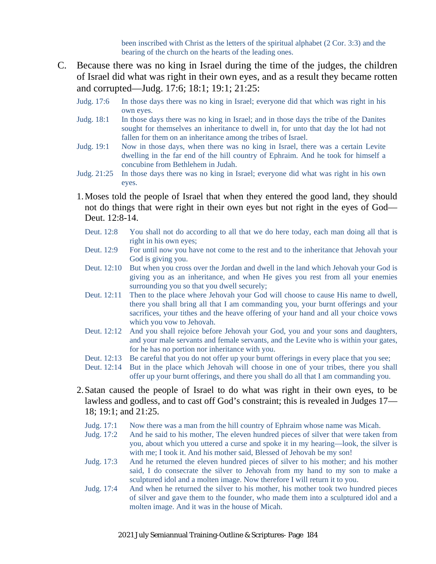been inscribed with Christ as the letters of the spiritual alphabet (2 Cor. 3:3) and the bearing of the church on the hearts of the leading ones.

- C. Because there was no king in Israel during the time of the judges, the children of Israel did what was right in their own eyes, and as a result they became rotten and corrupted—Judg. 17:6; 18:1; 19:1; 21:25:
	- Judg. 17:6 In those days there was no king in Israel; everyone did that which was right in his own eyes.
	- Judg. 18:1 In those days there was no king in Israel; and in those days the tribe of the Danites sought for themselves an inheritance to dwell in, for unto that day the lot had not fallen for them on an inheritance among the tribes of Israel.
	- Judg. 19:1 Now in those days, when there was no king in Israel, there was a certain Levite dwelling in the far end of the hill country of Ephraim. And he took for himself a concubine from Bethlehem in Judah.
	- Judg. 21:25 In those days there was no king in Israel; everyone did what was right in his own eyes.
	- 1.Moses told the people of Israel that when they entered the good land, they should not do things that were right in their own eyes but not right in the eyes of God— Deut. 12:8-14.
		- Deut. 12:8 You shall not do according to all that we do here today, each man doing all that is right in his own eyes;
		- Deut. 12:9 For until now you have not come to the rest and to the inheritance that Jehovah your God is giving you.
		- Deut. 12:10 But when you cross over the Jordan and dwell in the land which Jehovah your God is giving you as an inheritance, and when He gives you rest from all your enemies surrounding you so that you dwell securely;
		- Deut. 12:11 Then to the place where Jehovah your God will choose to cause His name to dwell, there you shall bring all that I am commanding you, your burnt offerings and your sacrifices, your tithes and the heave offering of your hand and all your choice vows which you vow to Jehovah.
		- Deut. 12:12 And you shall rejoice before Jehovah your God, you and your sons and daughters, and your male servants and female servants, and the Levite who is within your gates, for he has no portion nor inheritance with you.
		- Deut. 12:13 Be careful that you do not offer up your burnt offerings in every place that you see;
		- Deut. 12:14 But in the place which Jehovah will choose in one of your tribes, there you shall offer up your burnt offerings, and there you shall do all that I am commanding you.
	- 2.Satan caused the people of Israel to do what was right in their own eyes, to be lawless and godless, and to cast off God's constraint; this is revealed in Judges 17— 18; 19:1; and 21:25.
		- Judg. 17:1 Now there was a man from the hill country of Ephraim whose name was Micah.
		- Judg. 17:2 And he said to his mother, The eleven hundred pieces of silver that were taken from you, about which you uttered a curse and spoke it in my hearing—look, the silver is with me; I took it. And his mother said, Blessed of Jehovah be my son!
		- Judg. 17:3 And he returned the eleven hundred pieces of silver to his mother; and his mother said, I do consecrate the silver to Jehovah from my hand to my son to make a sculptured idol and a molten image. Now therefore I will return it to you.
		- Judg. 17:4 And when he returned the silver to his mother, his mother took two hundred pieces of silver and gave them to the founder, who made them into a sculptured idol and a molten image. And it was in the house of Micah.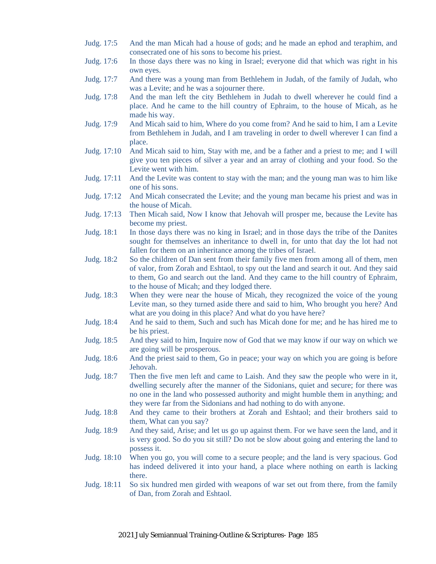- Judg. 17:5 And the man Micah had a house of gods; and he made an ephod and teraphim, and consecrated one of his sons to become his priest.
- Judg. 17:6 In those days there was no king in Israel; everyone did that which was right in his own eyes.
- Judg. 17:7 And there was a young man from Bethlehem in Judah, of the family of Judah, who was a Levite; and he was a sojourner there.
- Judg. 17:8 And the man left the city Bethlehem in Judah to dwell wherever he could find a place. And he came to the hill country of Ephraim, to the house of Micah, as he made his way.
- Judg. 17:9 And Micah said to him, Where do you come from? And he said to him, I am a Levite from Bethlehem in Judah, and I am traveling in order to dwell wherever I can find a place.
- Judg. 17:10 And Micah said to him, Stay with me, and be a father and a priest to me; and I will give you ten pieces of silver a year and an array of clothing and your food. So the Levite went with him.
- Judg. 17:11 And the Levite was content to stay with the man; and the young man was to him like one of his sons.
- Judg. 17:12 And Micah consecrated the Levite; and the young man became his priest and was in the house of Micah.
- Judg. 17:13 Then Micah said, Now I know that Jehovah will prosper me, because the Levite has become my priest.
- Judg. 18:1 In those days there was no king in Israel; and in those days the tribe of the Danites sought for themselves an inheritance to dwell in, for unto that day the lot had not fallen for them on an inheritance among the tribes of Israel.
- Judg. 18:2 So the children of Dan sent from their family five men from among all of them, men of valor, from Zorah and Eshtaol, to spy out the land and search it out. And they said to them, Go and search out the land. And they came to the hill country of Ephraim, to the house of Micah; and they lodged there.
- Judg. 18:3 When they were near the house of Micah, they recognized the voice of the young Levite man, so they turned aside there and said to him, Who brought you here? And what are you doing in this place? And what do you have here?
- Judg. 18:4 And he said to them, Such and such has Micah done for me; and he has hired me to be his priest.
- Judg. 18:5 And they said to him, Inquire now of God that we may know if our way on which we are going will be prosperous.
- Judg. 18:6 And the priest said to them, Go in peace; your way on which you are going is before Jehovah.
- Judg. 18:7 Then the five men left and came to Laish. And they saw the people who were in it, dwelling securely after the manner of the Sidonians, quiet and secure; for there was no one in the land who possessed authority and might humble them in anything; and they were far from the Sidonians and had nothing to do with anyone.
- Judg. 18:8 And they came to their brothers at Zorah and Eshtaol; and their brothers said to them, What can you say?
- Judg. 18:9 And they said, Arise; and let us go up against them. For we have seen the land, and it is very good. So do you sit still? Do not be slow about going and entering the land to possess it.
- Judg. 18:10 When you go, you will come to a secure people; and the land is very spacious. God has indeed delivered it into your hand, a place where nothing on earth is lacking there.
- Judg. 18:11 So six hundred men girded with weapons of war set out from there, from the family of Dan, from Zorah and Eshtaol.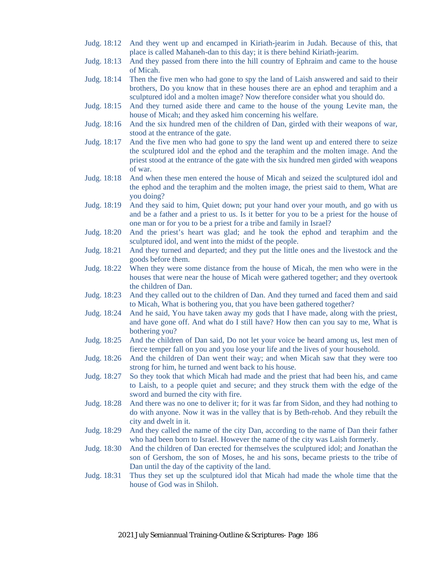- Judg. 18:12 And they went up and encamped in Kiriath-jearim in Judah. Because of this, that place is called Mahaneh-dan to this day; it is there behind Kiriath-jearim.
- Judg. 18:13 And they passed from there into the hill country of Ephraim and came to the house of Micah.
- Judg. 18:14 Then the five men who had gone to spy the land of Laish answered and said to their brothers, Do you know that in these houses there are an ephod and teraphim and a sculptured idol and a molten image? Now therefore consider what you should do.
- Judg. 18:15 And they turned aside there and came to the house of the young Levite man, the house of Micah; and they asked him concerning his welfare.
- Judg. 18:16 And the six hundred men of the children of Dan, girded with their weapons of war, stood at the entrance of the gate.
- Judg. 18:17 And the five men who had gone to spy the land went up and entered there to seize the sculptured idol and the ephod and the teraphim and the molten image. And the priest stood at the entrance of the gate with the six hundred men girded with weapons of war.
- Judg. 18:18 And when these men entered the house of Micah and seized the sculptured idol and the ephod and the teraphim and the molten image, the priest said to them, What are you doing?
- Judg. 18:19 And they said to him, Quiet down; put your hand over your mouth, and go with us and be a father and a priest to us. Is it better for you to be a priest for the house of one man or for you to be a priest for a tribe and family in Israel?
- Judg. 18:20 And the priest's heart was glad; and he took the ephod and teraphim and the sculptured idol, and went into the midst of the people.
- Judg. 18:21 And they turned and departed; and they put the little ones and the livestock and the goods before them.
- Judg. 18:22 When they were some distance from the house of Micah, the men who were in the houses that were near the house of Micah were gathered together; and they overtook the children of Dan.
- Judg. 18:23 And they called out to the children of Dan. And they turned and faced them and said to Micah, What is bothering you, that you have been gathered together?
- Judg. 18:24 And he said, You have taken away my gods that I have made, along with the priest, and have gone off. And what do I still have? How then can you say to me, What is bothering you?
- Judg. 18:25 And the children of Dan said, Do not let your voice be heard among us, lest men of fierce temper fall on you and you lose your life and the lives of your household.
- Judg. 18:26 And the children of Dan went their way; and when Micah saw that they were too strong for him, he turned and went back to his house.
- Judg. 18:27 So they took that which Micah had made and the priest that had been his, and came to Laish, to a people quiet and secure; and they struck them with the edge of the sword and burned the city with fire.
- Judg. 18:28 And there was no one to deliver it; for it was far from Sidon, and they had nothing to do with anyone. Now it was in the valley that is by Beth-rehob. And they rebuilt the city and dwelt in it.
- Judg. 18:29 And they called the name of the city Dan, according to the name of Dan their father who had been born to Israel. However the name of the city was Laish formerly.
- Judg. 18:30 And the children of Dan erected for themselves the sculptured idol; and Jonathan the son of Gershom, the son of Moses, he and his sons, became priests to the tribe of Dan until the day of the captivity of the land.
- Judg. 18:31 Thus they set up the sculptured idol that Micah had made the whole time that the house of God was in Shiloh.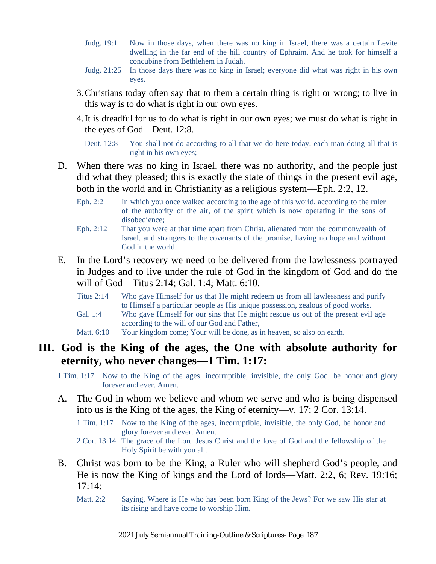- Judg. 19:1 Now in those days, when there was no king in Israel, there was a certain Levite dwelling in the far end of the hill country of Ephraim. And he took for himself a concubine from Bethlehem in Judah.
- Judg. 21:25 In those days there was no king in Israel; everyone did what was right in his own eyes.
- 3.Christians today often say that to them a certain thing is right or wrong; to live in this way is to do what is right in our own eyes.
- 4.It is dreadful for us to do what is right in our own eyes; we must do what is right in the eyes of God—Deut. 12:8.

Deut. 12:8 You shall not do according to all that we do here today, each man doing all that is right in his own eyes;

- D. When there was no king in Israel, there was no authority, and the people just did what they pleased; this is exactly the state of things in the present evil age, both in the world and in Christianity as a religious system—Eph. 2:2, 12.
	- Eph. 2:2 In which you once walked according to the age of this world, according to the ruler of the authority of the air, of the spirit which is now operating in the sons of disobedience;
	- Eph. 2:12 That you were at that time apart from Christ, alienated from the commonwealth of Israel, and strangers to the covenants of the promise, having no hope and without God in the world.
- E. In the Lord's recovery we need to be delivered from the lawlessness portrayed in Judges and to live under the rule of God in the kingdom of God and do the will of God—Titus 2:14; Gal. 1:4; Matt. 6:10.
	- Titus 2:14 Who gave Himself for us that He might redeem us from all lawlessness and purify to Himself a particular people as His unique possession, zealous of good works.
	- Gal. 1:4 Who gave Himself for our sins that He might rescue us out of the present evil age according to the will of our God and Father,
	- Matt.  $6:10$  Your kingdom come; Your will be done, as in heaven, so also on earth.

#### **III. God is the King of the ages, the One with absolute authority for eternity, who never changes—1 Tim. 1:17:**

1 Tim. 1:17 Now to the King of the ages, incorruptible, invisible, the only God, be honor and glory forever and ever. Amen.

- A. The God in whom we believe and whom we serve and who is being dispensed into us is the King of the ages, the King of eternity—v. 17; 2 Cor. 13:14.
	- 1 Tim. 1:17 Now to the King of the ages, incorruptible, invisible, the only God, be honor and glory forever and ever. Amen.
	- 2 Cor. 13:14 The grace of the Lord Jesus Christ and the love of God and the fellowship of the Holy Spirit be with you all.
- B. Christ was born to be the King, a Ruler who will shepherd God's people, and He is now the King of kings and the Lord of lords—Matt. 2:2, 6; Rev. 19:16;  $17:14:$ 
	- Matt. 2:2 Saying, Where is He who has been born King of the Jews? For we saw His star at its rising and have come to worship Him.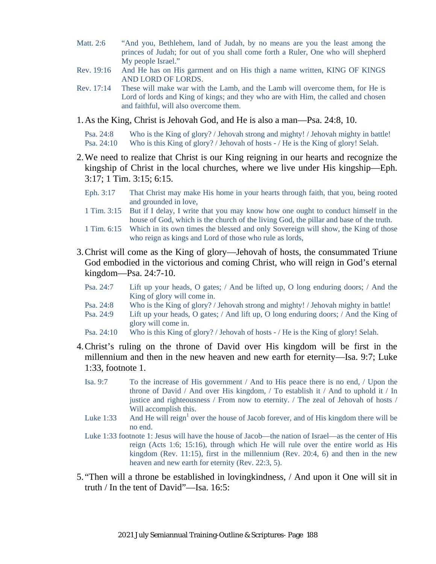- Matt. 2:6 "And you, Bethlehem, land of Judah, by no means are you the least among the princes of Judah; for out of you shall come forth a Ruler, One who will shepherd My people Israel."
- Rev. 19:16 And He has on His garment and on His thigh a name written, KING OF KINGS AND LORD OF LORDS.
- Rev. 17:14 These will make war with the Lamb, and the Lamb will overcome them, for He is Lord of lords and King of kings; and they who are with Him, the called and chosen and faithful, will also overcome them.
- 1.As the King, Christ is Jehovah God, and He is also a man—Psa. 24:8, 10.

Psa. 24:8 Who is the King of glory? / Jehovah strong and mighty! / Jehovah mighty in battle! Psa. 24:10 Who is this King of glory? / Jehovah of hosts - / He is the King of glory! Selah.

- 2.We need to realize that Christ is our King reigning in our hearts and recognize the kingship of Christ in the local churches, where we live under His kingship—Eph. 3:17; 1 Tim. 3:15; 6:15.
	- Eph. 3:17 That Christ may make His home in your hearts through faith, that you, being rooted and grounded in love,
	- 1 Tim. 3:15 But if I delay, I write that you may know how one ought to conduct himself in the house of God, which is the church of the living God, the pillar and base of the truth.
	- 1 Tim. 6:15 Which in its own times the blessed and only Sovereign will show, the King of those who reign as kings and Lord of those who rule as lords,
- 3.Christ will come as the King of glory—Jehovah of hosts, the consummated Triune God embodied in the victorious and coming Christ, who will reign in God's eternal kingdom—Psa. 24:7-10.
	- Psa. 24:7 Lift up your heads, O gates; / And be lifted up, O long enduring doors; / And the King of glory will come in.
	- Psa. 24:8 Who is the King of glory? / Jehovah strong and mighty! / Jehovah mighty in battle!
	- Psa. 24:9 Lift up your heads, O gates; / And lift up, O long enduring doors; / And the King of glory will come in.
	- Psa. 24:10 Who is this King of glory? / Jehovah of hosts / He is the King of glory! Selah.
- 4.Christ's ruling on the throne of David over His kingdom will be first in the millennium and then in the new heaven and new earth for eternity—Isa. 9:7; Luke 1:33, footnote 1.
	- Isa. 9:7 To the increase of His government / And to His peace there is no end, / Upon the throne of David / And over His kingdom, / To establish it / And to uphold it / In justice and righteousness / From now to eternity. / The zeal of Jehovah of hosts / Will accomplish this.
	- Luke 1:33 And He will reign<sup>1</sup> over the house of Jacob forever, and of His kingdom there will be no end.
	- Luke 1:33 footnote 1: Jesus will have the house of Jacob—the nation of Israel—as the center of His reign (Acts 1:6; 15:16), through which He will rule over the entire world as His kingdom (Rev. 11:15), first in the millennium (Rev. 20:4, 6) and then in the new heaven and new earth for eternity (Rev. 22:3, 5).
- 5. "Then will a throne be established in lovingkindness, / And upon it One will sit in truth / In the tent of David"—Isa. 16:5: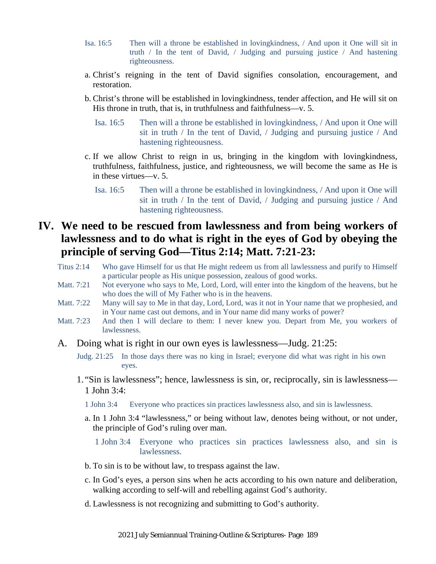- Isa. 16:5 Then will a throne be established in lovingkindness, / And upon it One will sit in truth / In the tent of David, / Judging and pursuing justice / And hastening righteousness.
- a. Christ's reigning in the tent of David signifies consolation, encouragement, and restoration.
- b. Christ's throne will be established in lovingkindness, tender affection, and He will sit on His throne in truth, that is, in truthfulness and faithfulness—v. 5.
	- Isa. 16:5 Then will a throne be established in lovingkindness, / And upon it One will sit in truth / In the tent of David, / Judging and pursuing justice / And hastening righteousness.
- c. If we allow Christ to reign in us, bringing in the kingdom with lovingkindness, truthfulness, faithfulness, justice, and righteousness, we will become the same as He is in these virtues—v. 5.
	- Isa. 16:5 Then will a throne be established in lovingkindness, / And upon it One will sit in truth / In the tent of David, / Judging and pursuing justice / And hastening righteousness.

## **IV. We need to be rescued from lawlessness and from being workers of lawlessness and to do what is right in the eyes of God by obeying the principle of serving God—Titus 2:14; Matt. 7:21-23:**

- Titus 2:14 Who gave Himself for us that He might redeem us from all lawlessness and purify to Himself a particular people as His unique possession, zealous of good works.
- Matt. 7:21 Not everyone who says to Me, Lord, Lord, will enter into the kingdom of the heavens, but he who does the will of My Father who is in the heavens.
- Matt. 7:22 Many will say to Me in that day, Lord, Lord, was it not in Your name that we prophesied, and in Your name cast out demons, and in Your name did many works of power?
- Matt. 7:23 And then I will declare to them: I never knew you. Depart from Me, you workers of lawlessness.
- A. Doing what is right in our own eyes is lawlessness—Judg. 21:25:
	- Judg. 21:25 In those days there was no king in Israel; everyone did what was right in his own eyes.
	- 1. "Sin is lawlessness"; hence, lawlessness is sin, or, reciprocally, sin is lawlessness— 1 John 3:4:
		- 1 John 3:4 Everyone who practices sin practices lawlessness also, and sin is lawlessness.
		- a. In 1 John 3:4 "lawlessness," or being without law, denotes being without, or not under, the principle of God's ruling over man.
			- 1 John 3:4 Everyone who practices sin practices lawlessness also, and sin is lawlessness.
		- b. To sin is to be without law, to trespass against the law.
		- c. In God's eyes, a person sins when he acts according to his own nature and deliberation, walking according to self-will and rebelling against God's authority.
		- d. Lawlessness is not recognizing and submitting to God's authority.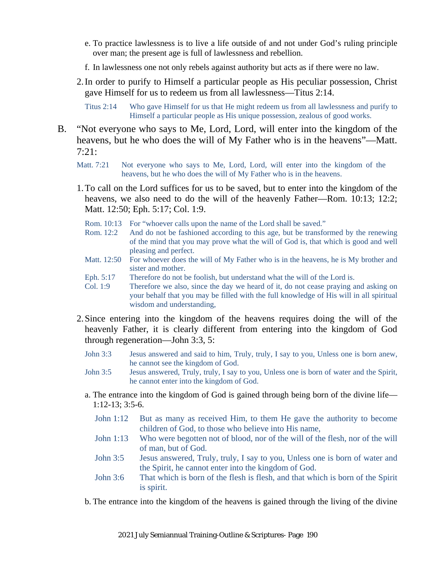- e. To practice lawlessness is to live a life outside of and not under God's ruling principle over man; the present age is full of lawlessness and rebellion.
- f. In lawlessness one not only rebels against authority but acts as if there were no law.
- 2.In order to purify to Himself a particular people as His peculiar possession, Christ gave Himself for us to redeem us from all lawlessness—Titus 2:14.

Titus 2:14 Who gave Himself for us that He might redeem us from all lawlessness and purify to Himself a particular people as His unique possession, zealous of good works.

- B. "Not everyone who says to Me, Lord, Lord, will enter into the kingdom of the heavens, but he who does the will of My Father who is in the heavens"—Matt. 7:21:
	- Matt. 7:21 Not everyone who says to Me, Lord, Lord, will enter into the kingdom of the heavens, but he who does the will of My Father who is in the heavens.
	- 1.To call on the Lord suffices for us to be saved, but to enter into the kingdom of the heavens, we also need to do the will of the heavenly Father—Rom. 10:13; 12:2; Matt. 12:50; Eph. 5:17; Col. 1:9.
		- Rom. 10:13 For "whoever calls upon the name of the Lord shall be saved."
		- Rom. 12:2 And do not be fashioned according to this age, but be transformed by the renewing of the mind that you may prove what the will of God is, that which is good and well pleasing and perfect.
		- Matt. 12:50 For whoever does the will of My Father who is in the heavens, he is My brother and sister and mother.
		- Eph. 5:17 Therefore do not be foolish, but understand what the will of the Lord is.
		- Col. 1:9 Therefore we also, since the day we heard of it, do not cease praying and asking on your behalf that you may be filled with the full knowledge of His will in all spiritual wisdom and understanding,
	- 2.Since entering into the kingdom of the heavens requires doing the will of the heavenly Father, it is clearly different from entering into the kingdom of God through regeneration—John 3:3, 5:
		- John 3:3 Jesus answered and said to him, Truly, truly, I say to you, Unless one is born anew, he cannot see the kingdom of God.
		- John 3:5 Jesus answered, Truly, truly, I say to you, Unless one is born of water and the Spirit, he cannot enter into the kingdom of God.
		- a. The entrance into the kingdom of God is gained through being born of the divine life— 1:12-13; 3:5-6.
			- John 1:12 But as many as received Him, to them He gave the authority to become children of God, to those who believe into His name,
			- John 1:13 Who were begotten not of blood, nor of the will of the flesh, nor of the will of man, but of God.
			- John 3:5 Jesus answered, Truly, truly, I say to you, Unless one is born of water and the Spirit, he cannot enter into the kingdom of God.
			- John 3:6 That which is born of the flesh is flesh, and that which is born of the Spirit is spirit.
		- b. The entrance into the kingdom of the heavens is gained through the living of the divine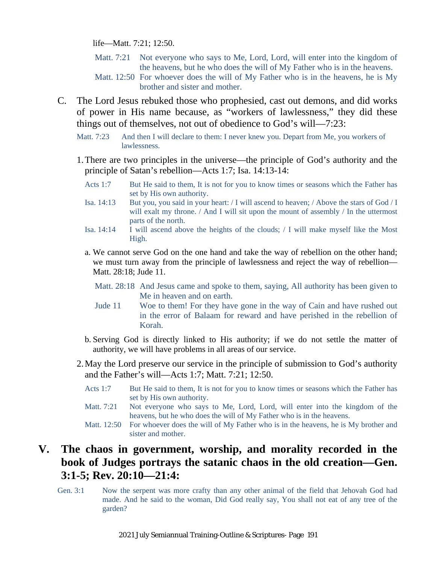life—Matt. 7:21; 12:50.

- Matt. 7:21 Not everyone who says to Me, Lord, Lord, will enter into the kingdom of the heavens, but he who does the will of My Father who is in the heavens. Matt. 12:50 For whoever does the will of My Father who is in the heavens, he is My
	- brother and sister and mother.
- C. The Lord Jesus rebuked those who prophesied, cast out demons, and did works of power in His name because, as "workers of lawlessness," they did these things out of themselves, not out of obedience to God's will—7:23:
	- Matt. 7:23 And then I will declare to them: I never knew you. Depart from Me, you workers of lawlessness.
	- 1.There are two principles in the universe—the principle of God's authority and the principle of Satan's rebellion—Acts 1:7; Isa. 14:13-14:
		- Acts 1:7 But He said to them, It is not for you to know times or seasons which the Father has set by His own authority.
		- Isa. 14:13 But you, you said in your heart: / I will ascend to heaven; / Above the stars of God / I will exalt my throne. / And I will sit upon the mount of assembly / In the uttermost parts of the north.
		- Isa. 14:14 I will ascend above the heights of the clouds; / I will make myself like the Most High.
		- a. We cannot serve God on the one hand and take the way of rebellion on the other hand; we must turn away from the principle of lawlessness and reject the way of rebellion— Matt. 28:18; Jude 11.

Matt. 28:18 And Jesus came and spoke to them, saying, All authority has been given to Me in heaven and on earth.

- Jude 11 Woe to them! For they have gone in the way of Cain and have rushed out in the error of Balaam for reward and have perished in the rebellion of Korah.
- b. Serving God is directly linked to His authority; if we do not settle the matter of authority, we will have problems in all areas of our service.
- 2.May the Lord preserve our service in the principle of submission to God's authority and the Father's will—Acts 1:7; Matt. 7:21; 12:50.
	- Acts 1:7 But He said to them, It is not for you to know times or seasons which the Father has set by His own authority.
	- Matt. 7:21 Not everyone who says to Me, Lord, Lord, will enter into the kingdom of the heavens, but he who does the will of My Father who is in the heavens.
	- Matt. 12:50 For whoever does the will of My Father who is in the heavens, he is My brother and sister and mother.

### **V. The chaos in government, worship, and morality recorded in the book of Judges portrays the satanic chaos in the old creation—Gen. 3:1-5; Rev. 20:10—21:4:**

Gen. 3:1 Now the serpent was more crafty than any other animal of the field that Jehovah God had made. And he said to the woman, Did God really say, You shall not eat of any tree of the garden?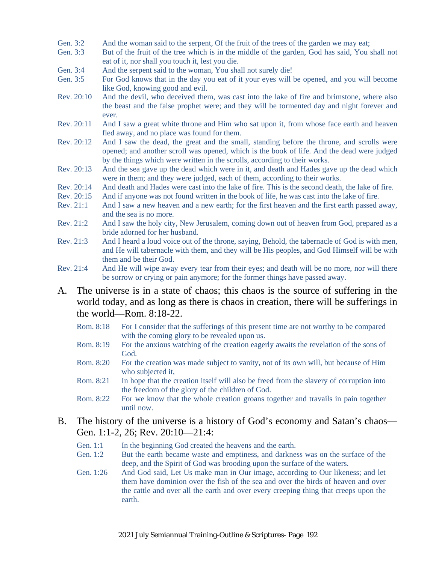- Gen. 3:2 And the woman said to the serpent, Of the fruit of the trees of the garden we may eat;
- Gen. 3:3 But of the fruit of the tree which is in the middle of the garden, God has said, You shall not eat of it, nor shall you touch it, lest you die.
- Gen. 3:4 And the serpent said to the woman, You shall not surely die!<br>Gen. 3:5 For God knows that in the day you eat of it your eves will
- For God knows that in the day you eat of it your eyes will be opened, and you will become like God, knowing good and evil.
- Rev. 20:10 And the devil, who deceived them, was cast into the lake of fire and brimstone, where also the beast and the false prophet were; and they will be tormented day and night forever and ever.
- Rev. 20:11 And I saw a great white throne and Him who sat upon it, from whose face earth and heaven fled away, and no place was found for them.
- Rev. 20:12 And I saw the dead, the great and the small, standing before the throne, and scrolls were opened; and another scroll was opened, which is the book of life. And the dead were judged by the things which were written in the scrolls, according to their works.
- Rev. 20:13 And the sea gave up the dead which were in it, and death and Hades gave up the dead which were in them; and they were judged, each of them, according to their works.
- Rev. 20:14 And death and Hades were cast into the lake of fire. This is the second death, the lake of fire.
- Rev. 20:15 And if anyone was not found written in the book of life, he was cast into the lake of fire.
- Rev. 21:1 And I saw a new heaven and a new earth; for the first heaven and the first earth passed away, and the sea is no more.
- Rev. 21:2 And I saw the holy city, New Jerusalem, coming down out of heaven from God, prepared as a bride adorned for her husband.
- Rev. 21:3 And I heard a loud voice out of the throne, saying, Behold, the tabernacle of God is with men, and He will tabernacle with them, and they will be His peoples, and God Himself will be with them and be their God.
- Rev. 21:4 And He will wipe away every tear from their eyes; and death will be no more, nor will there be sorrow or crying or pain anymore; for the former things have passed away.
- A. The universe is in a state of chaos; this chaos is the source of suffering in the world today, and as long as there is chaos in creation, there will be sufferings in the world—Rom. 8:18-22.
	- Rom. 8:18 For I consider that the sufferings of this present time are not worthy to be compared with the coming glory to be revealed upon us.
	- Rom. 8:19 For the anxious watching of the creation eagerly awaits the revelation of the sons of God.
	- Rom. 8:20 For the creation was made subject to vanity, not of its own will, but because of Him who subjected it,
	- Rom. 8:21 In hope that the creation itself will also be freed from the slavery of corruption into the freedom of the glory of the children of God.
	- Rom. 8:22 For we know that the whole creation groans together and travails in pain together until now.

#### B. The history of the universe is a history of God's economy and Satan's chaos— Gen. 1:1-2, 26; Rev. 20:10—21:4:

- Gen. 1:1 In the beginning God created the heavens and the earth.<br>Gen. 1:2 But the earth became waste and emptiness, and darkne
- But the earth became waste and emptiness, and darkness was on the surface of the deep, and the Spirit of God was brooding upon the surface of the waters.
- Gen. 1:26 And God said, Let Us make man in Our image, according to Our likeness; and let them have dominion over the fish of the sea and over the birds of heaven and over the cattle and over all the earth and over every creeping thing that creeps upon the earth.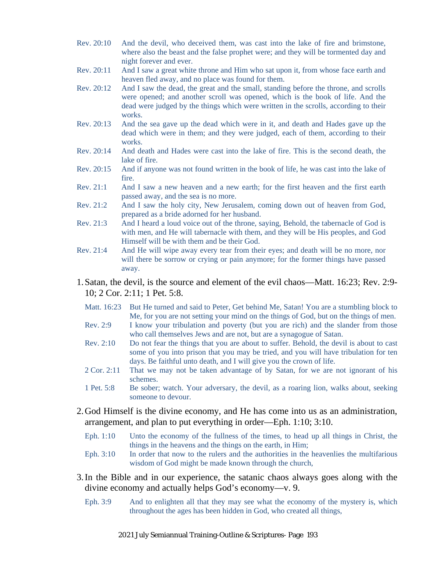- Rev. 20:10 And the devil, who deceived them, was cast into the lake of fire and brimstone, where also the beast and the false prophet were; and they will be tormented day and night forever and ever.
- Rev. 20:11 And I saw a great white throne and Him who sat upon it, from whose face earth and heaven fled away, and no place was found for them.
- Rev. 20:12 And I saw the dead, the great and the small, standing before the throne, and scrolls were opened; and another scroll was opened, which is the book of life. And the dead were judged by the things which were written in the scrolls, according to their works.
- Rev. 20:13 And the sea gave up the dead which were in it, and death and Hades gave up the dead which were in them; and they were judged, each of them, according to their works.
- Rev. 20:14 And death and Hades were cast into the lake of fire. This is the second death, the lake of fire.
- Rev. 20:15 And if anyone was not found written in the book of life, he was cast into the lake of fire.
- Rev. 21:1 And I saw a new heaven and a new earth; for the first heaven and the first earth passed away, and the sea is no more.
- Rev. 21:2 And I saw the holy city, New Jerusalem, coming down out of heaven from God, prepared as a bride adorned for her husband.
- Rev. 21:3 And I heard a loud voice out of the throne, saying, Behold, the tabernacle of God is with men, and He will tabernacle with them, and they will be His peoples, and God Himself will be with them and be their God.
- Rev. 21:4 And He will wipe away every tear from their eyes; and death will be no more, nor will there be sorrow or crying or pain anymore; for the former things have passed away.
- 1.Satan, the devil, is the source and element of the evil chaos—Matt. 16:23; Rev. 2:9- 10; 2 Cor. 2:11; 1 Pet. 5:8.
	- Matt. 16:23 But He turned and said to Peter, Get behind Me, Satan! You are a stumbling block to Me, for you are not setting your mind on the things of God, but on the things of men.
	- Rev. 2:9 I know your tribulation and poverty (but you are rich) and the slander from those who call themselves Jews and are not, but are a synagogue of Satan.
	- Rev. 2:10 Do not fear the things that you are about to suffer. Behold, the devil is about to cast some of you into prison that you may be tried, and you will have tribulation for ten days. Be faithful unto death, and I will give you the crown of life.
	- 2 Cor. 2:11 That we may not be taken advantage of by Satan, for we are not ignorant of his schemes.
	- 1 Pet. 5:8 Be sober; watch. Your adversary, the devil, as a roaring lion, walks about, seeking someone to devour.
- 2.God Himself is the divine economy, and He has come into us as an administration, arrangement, and plan to put everything in order—Eph. 1:10; 3:10.
	- Eph. 1:10 Unto the economy of the fullness of the times, to head up all things in Christ, the things in the heavens and the things on the earth, in Him;
	- Eph. 3:10 In order that now to the rulers and the authorities in the heavenlies the multifarious wisdom of God might be made known through the church,
- 3.In the Bible and in our experience, the satanic chaos always goes along with the divine economy and actually helps God's economy—v. 9.
	- Eph. 3:9 And to enlighten all that they may see what the economy of the mystery is, which throughout the ages has been hidden in God, who created all things,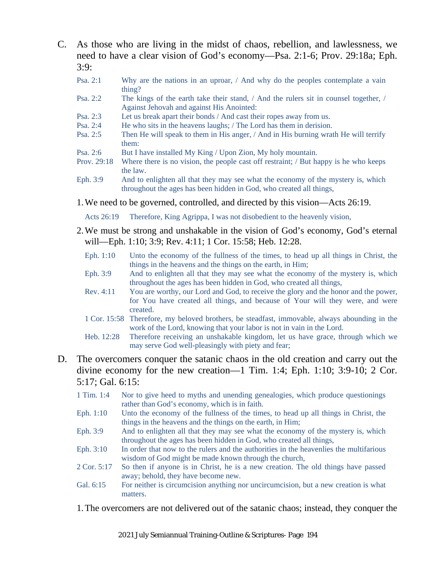- C. As those who are living in the midst of chaos, rebellion, and lawlessness, we need to have a clear vision of God's economy—Psa. 2:1-6; Prov. 29:18a; Eph.  $3:9:$ 
	- Psa. 2:1 Why are the nations in an uproar, / And why do the peoples contemplate a vain thing?
	- Psa. 2:2 The kings of the earth take their stand, / And the rulers sit in counsel together, / Against Jehovah and against His Anointed:
	- Psa. 2:3 Let us break apart their bonds / And cast their ropes away from us.
	- Psa. 2:4 He who sits in the heavens laughs; / The Lord has them in derision.<br>Psa. 2:5 Then He will sneak to them in His anger, / And in His burning wrat
	- Then He will speak to them in His anger, / And in His burning wrath He will terrify them:
	- Psa. 2:6 But I have installed My King / Upon Zion, My holy mountain.
	- Prov. 29:18 Where there is no vision, the people cast off restraint; / But happy is he who keeps the law.
	- Eph. 3:9 And to enlighten all that they may see what the economy of the mystery is, which throughout the ages has been hidden in God, who created all things,
	- 1.We need to be governed, controlled, and directed by this vision—Acts 26:19.

Acts 26:19 Therefore, King Agrippa, I was not disobedient to the heavenly vision,

- 2.We must be strong and unshakable in the vision of God's economy, God's eternal will—Eph. 1:10; 3:9; Rev. 4:11; 1 Cor. 15:58; Heb. 12:28.
	- Eph. 1:10 Unto the economy of the fullness of the times, to head up all things in Christ, the things in the heavens and the things on the earth, in Him;
	- Eph. 3:9 And to enlighten all that they may see what the economy of the mystery is, which throughout the ages has been hidden in God, who created all things,
	- Rev. 4:11 You are worthy, our Lord and God, to receive the glory and the honor and the power, for You have created all things, and because of Your will they were, and were created.
	- 1 Cor. 15:58 Therefore, my beloved brothers, be steadfast, immovable, always abounding in the work of the Lord, knowing that your labor is not in vain in the Lord.
	- Heb. 12:28 Therefore receiving an unshakable kingdom, let us have grace, through which we may serve God well-pleasingly with piety and fear;
- D. The overcomers conquer the satanic chaos in the old creation and carry out the divine economy for the new creation—1 Tim. 1:4; Eph. 1:10; 3:9-10; 2 Cor. 5:17; Gal. 6:15:
	- 1 Tim. 1:4 Nor to give heed to myths and unending genealogies, which produce questionings rather than God's economy, which is in faith.
	- Eph. 1:10 Unto the economy of the fullness of the times, to head up all things in Christ, the things in the heavens and the things on the earth, in Him;
	- Eph. 3:9 And to enlighten all that they may see what the economy of the mystery is, which throughout the ages has been hidden in God, who created all things,
	- Eph. 3:10 In order that now to the rulers and the authorities in the heavenlies the multifarious wisdom of God might be made known through the church,
	- 2 Cor. 5:17 So then if anyone is in Christ, he is a new creation. The old things have passed away; behold, they have become new.
	- Gal. 6:15 For neither is circumcision anything nor uncircumcision, but a new creation is what matters.
	- 1.The overcomers are not delivered out of the satanic chaos; instead, they conquer the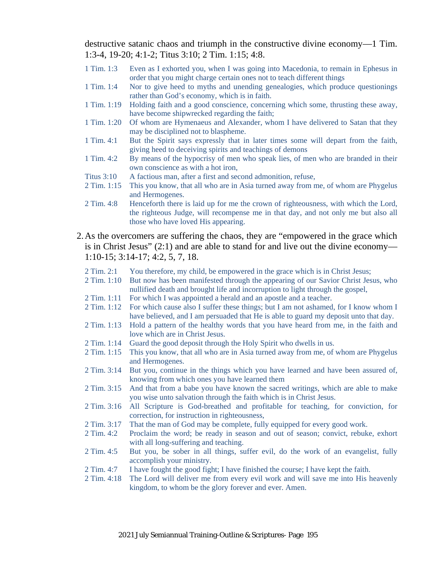destructive satanic chaos and triumph in the constructive divine economy—1 Tim. 1:3-4, 19-20; 4:1-2; Titus 3:10; 2 Tim. 1:15; 4:8.

- 1 Tim. 1:3 Even as I exhorted you, when I was going into Macedonia, to remain in Ephesus in order that you might charge certain ones not to teach different things
- 1 Tim. 1:4 Nor to give heed to myths and unending genealogies, which produce questionings rather than God's economy, which is in faith.
- 1 Tim. 1:19 Holding faith and a good conscience, concerning which some, thrusting these away, have become shipwrecked regarding the faith;
- 1 Tim. 1:20 Of whom are Hymenaeus and Alexander, whom I have delivered to Satan that they may be disciplined not to blaspheme.
- 1 Tim. 4:1 But the Spirit says expressly that in later times some will depart from the faith, giving heed to deceiving spirits and teachings of demons
- 1 Tim. 4:2 By means of the hypocrisy of men who speak lies, of men who are branded in their own conscience as with a hot iron,
- Titus 3:10 A factious man, after a first and second admonition, refuse,
- 2 Tim. 1:15 This you know, that all who are in Asia turned away from me, of whom are Phygelus and Hermogenes.
- 2 Tim. 4:8 Henceforth there is laid up for me the crown of righteousness, with which the Lord, the righteous Judge, will recompense me in that day, and not only me but also all those who have loved His appearing.
- 2.As the overcomers are suffering the chaos, they are "empowered in the grace which is in Christ Jesus" (2:1) and are able to stand for and live out the divine economy— 1:10-15; 3:14-17; 4:2, 5, 7, 18.
	- 2 Tim. 2:1 You therefore, my child, be empowered in the grace which is in Christ Jesus;
	- 2 Tim. 1:10 But now has been manifested through the appearing of our Savior Christ Jesus, who nullified death and brought life and incorruption to light through the gospel,
	- 2 Tim. 1:11 For which I was appointed a herald and an apostle and a teacher.
	- 2 Tim. 1:12 For which cause also I suffer these things; but I am not ashamed, for I know whom I have believed, and I am persuaded that He is able to guard my deposit unto that day.
	- 2 Tim. 1:13 Hold a pattern of the healthy words that you have heard from me, in the faith and love which are in Christ Jesus.
	- 2 Tim. 1:14 Guard the good deposit through the Holy Spirit who dwells in us.
	- 2 Tim. 1:15 This you know, that all who are in Asia turned away from me, of whom are Phygelus and Hermogenes.
	- 2 Tim. 3:14 But you, continue in the things which you have learned and have been assured of, knowing from which ones you have learned them
	- 2 Tim. 3:15 And that from a babe you have known the sacred writings, which are able to make you wise unto salvation through the faith which is in Christ Jesus.
	- 2 Tim. 3:16 All Scripture is God-breathed and profitable for teaching, for conviction, for correction, for instruction in righteousness,
	- 2 Tim. 3:17 That the man of God may be complete, fully equipped for every good work.
	- 2 Tim. 4:2 Proclaim the word; be ready in season and out of season; convict, rebuke, exhort with all long-suffering and teaching.
	- 2 Tim. 4:5 But you, be sober in all things, suffer evil, do the work of an evangelist, fully accomplish your ministry.
	- 2 Tim. 4:7 I have fought the good fight; I have finished the course; I have kept the faith.
	- 2 Tim. 4:18 The Lord will deliver me from every evil work and will save me into His heavenly kingdom, to whom be the glory forever and ever. Amen.